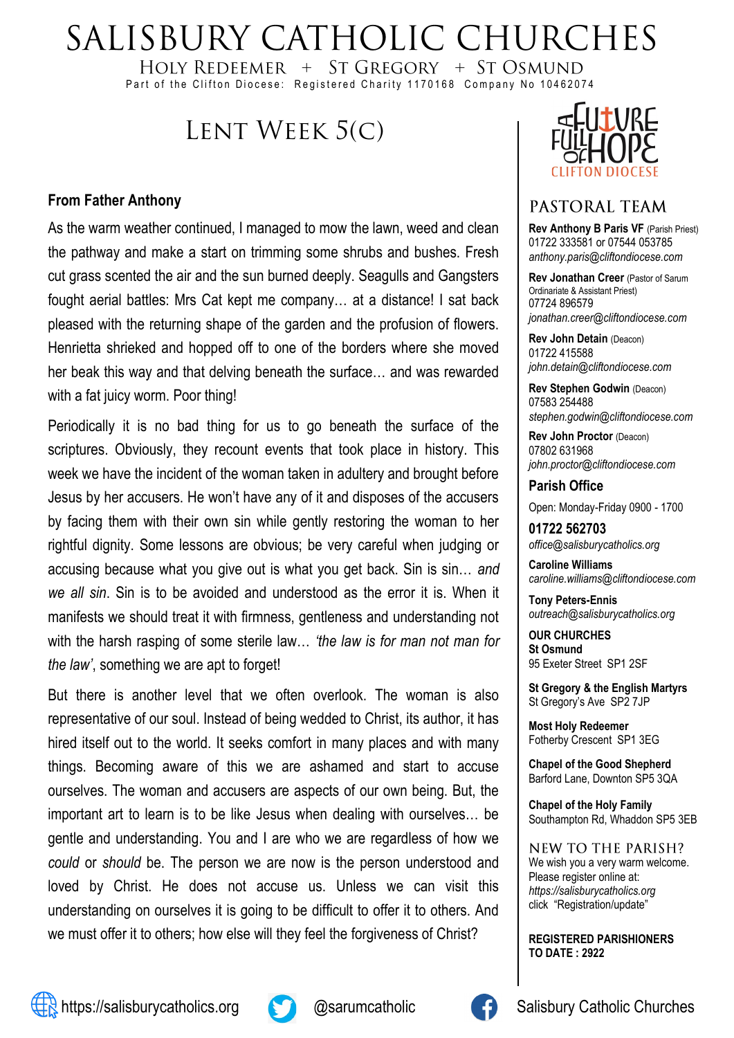## SALISBURY CATHOLIC CHURCHES

HOLY REDEEMER + ST GREGORY + ST OSMUND Part of the Clifton Diocese: Registered Charity 1170168 Company No 10462074

## LENT WEEK 5(C)

#### **From Father Anthony**

As the warm weather continued, I managed to mow the lawn, weed and clean the pathway and make a start on trimming some shrubs and bushes. Fresh cut grass scented the air and the sun burned deeply. Seagulls and Gangsters fought aerial battles: Mrs Cat kept me company… at a distance! I sat back pleased with the returning shape of the garden and the profusion of flowers. Henrietta shrieked and hopped off to one of the borders where she moved her beak this way and that delving beneath the surface… and was rewarded with a fat juicy worm. Poor thing!

Periodically it is no bad thing for us to go beneath the surface of the scriptures. Obviously, they recount events that took place in history. This week we have the incident of the woman taken in adultery and brought before Jesus by her accusers. He won't have any of it and disposes of the accusers by facing them with their own sin while gently restoring the woman to her rightful dignity. Some lessons are obvious; be very careful when judging or accusing because what you give out is what you get back. Sin is sin… *and we all sin*. Sin is to be avoided and understood as the error it is. When it manifests we should treat it with firmness, gentleness and understanding not with the harsh rasping of some sterile law… *'the law is for man not man for the law'*, something we are apt to forget!

But there is another level that we often overlook. The woman is also representative of our soul. Instead of being wedded to Christ, its author, it has hired itself out to the world. It seeks comfort in many places and with many things. Becoming aware of this we are ashamed and start to accuse ourselves. The woman and accusers are aspects of our own being. But, the important art to learn is to be like Jesus when dealing with ourselves… be gentle and understanding. You and I are who we are regardless of how we *could* or *should* be. The person we are now is the person understood and loved by Christ. He does not accuse us. Unless we can visit this understanding on ourselves it is going to be difficult to offer it to others. And we must offer it to others; how else will they feel the forgiveness of Christ?



#### PASTORAL TEAM

**Rev Anthony B Paris VF (Parish Priest)** 01722 333581 or 07544 053785 *anthony.paris@cliftondiocese.com*

**Rev Jonathan Creer** (Pastor of Sarum Ordinariate & Assistant Priest) 07724 896579 *jonathan.creer@cliftondiocese.com*

**Rev John Detain** (Deacon) 01722 415588 *john.detain@cliftondiocese.com*

**Rev Stephen Godwin** (Deacon) 07583 254488 *stephen.godwin@cliftondiocese.com*

**Rev John Proctor** (Deacon) 07802 631968 *john.proctor@cliftondiocese.com*

**Parish Office** 

Open: Monday-Friday 0900 - 1700

**01722 562703** *office@salisburycatholics.org*

**Caroline Williams** *caroline.williams@cliftondiocese.com*

**Tony Peters-Ennis** *outreach@salisburycatholics.org*

**OUR CHURCHES St Osmund** 95 Exeter Street SP1 2SF

**St Gregory & the English Martyrs** St Gregory's Ave SP2 7JP

**Most Holy Redeemer**  Fotherby Crescent SP1 3EG

**Chapel of the Good Shepherd** Barford Lane, Downton SP5 3QA

**Chapel of the Holy Family** Southampton Rd, Whaddon SP5 3EB

NEW TO THE PARISH? We wish you a very warm welcome. Please register online at: *[https://salisburycatholics.org](https://p1.pamis.co.uk/salisbury/onlined01cab)*  [click "Registration/update"](https://p1.pamis.co.uk/salisbury/onlined01cab) 

**REGISTERED PARISHIONERS TO DATE : 2922**



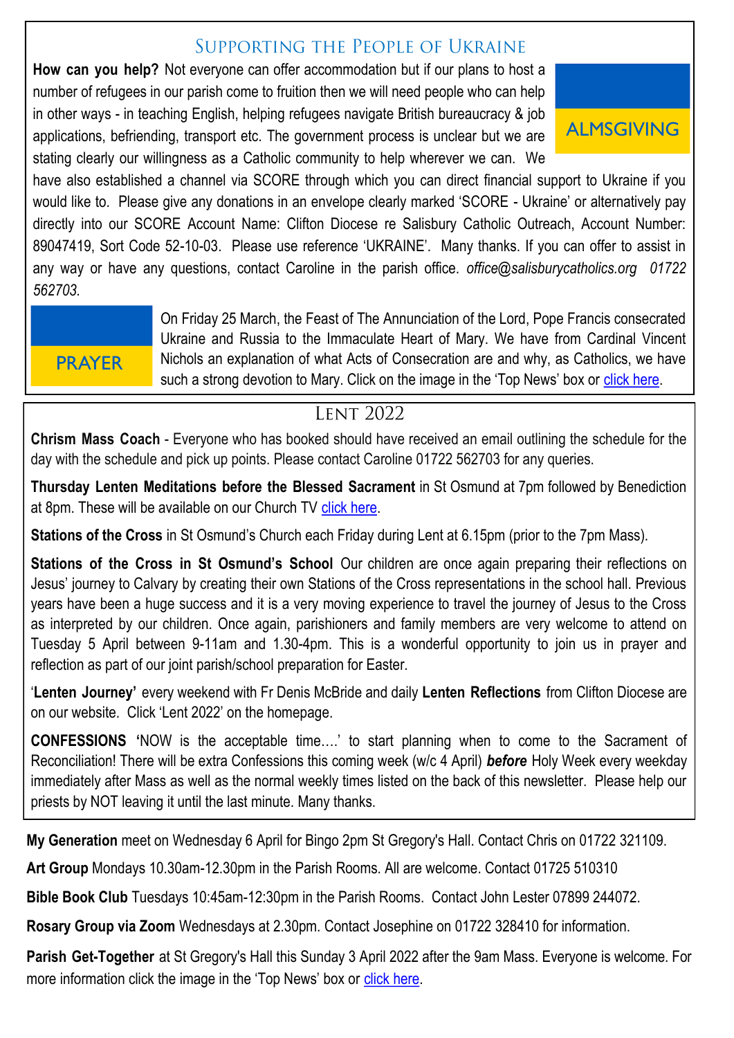#### SUPPORTING THE PEOPLE OF UKRAINE

**How can you help?** Not everyone can offer accommodation but if our plans to host a number of refugees in our parish come to fruition then we will need people who can help in other ways - in teaching English, helping refugees navigate British bureaucracy & job applications, befriending, transport etc. The government process is unclear but we are stating clearly our willingness as a Catholic community to help wherever we can. We



have also established a channel via SCORE through which you can direct financial support to Ukraine if you would like to. Please give any donations in an envelope clearly marked 'SCORE - Ukraine' or alternatively pay directly into our SCORE Account Name: Clifton Diocese re Salisbury Catholic Outreach, Account Number: 89047419, Sort Code 52-10-03. Please use reference 'UKRAINE'. Many thanks. If you can offer to assist in any way or have any questions, contact Caroline in the parish office. *office@salisburycatholics.org 01722 562703.*

# **PRAYER**

On Friday 25 March, the Feast of The Annunciation of the Lord, Pope Francis consecrated Ukraine and Russia to the Immaculate Heart of Mary. We have from Cardinal Vincent Nichols an explanation of what Acts of Consecration are and why, as Catholics, we have such a strong devotion to Mary. Click on the image in the 'Top News' box or [click here.](https://salisburycatholics.org/ukraine)

#### **LENT 2022**

**Chrism Mass Coach** - Everyone who has booked should have received an email outlining the schedule for the day with the schedule and pick up points. Please contact Caroline 01722 562703 for any queries. Ì

**Thursday Lenten Meditations before the Blessed Sacrament** in St Osmund at 7pm followed by Benediction at 8pm. These will be available on our Church TV [click here.](https://salisburycatholics.org/st-osmunds)

**Stations of the Cross** in St Osmund's Church each Friday during Lent at 6.15pm (prior to the 7pm Mass).

**Stations of the Cross in St Osmund's School** Our children are once again preparing their reflections on Jesus' journey to Calvary by creating their own Stations of the Cross representations in the school hall. Previous years have been a huge success and it is a very moving experience to travel the journey of Jesus to the Cross as interpreted by our children. Once again, parishioners and family members are very welcome to attend on Tuesday 5 April between 9-11am and 1.30-4pm. This is a wonderful opportunity to join us in prayer and reflection as part of our joint parish/school preparation for Easter.

'**Lenten Journey'** every weekend with Fr Denis McBride and daily **Lenten Reflections** from Clifton Diocese are on our website. Click 'Lent 2022' on the homepage.

**CONFESSIONS '**NOW is the acceptable time….' to start planning when to come to the Sacrament of Reconciliation! There will be extra Confessions this coming week (w/c 4 April) *before* Holy Week every weekday immediately after Mass as well as the normal weekly times listed on the back of this newsletter. Please help our priests by NOT leaving it until the last minute. Many thanks.

**My Generation** meet on Wednesday 6 April for Bingo 2pm St Gregory's Hall. Contact Chris on 01722 321109.

**Art Group** Mondays 10.30am-12.30pm in the Parish Rooms. All are welcome. Contact 01725 510310

**Bible Book Club** Tuesdays 10:45am-12:30pm in the Parish Rooms. Contact John Lester 07899 244072.

**Rosary Group via Zoom** Wednesdays at 2.30pm. Contact Josephine on 01722 328410 for information.

**Parish Get-Together** at St Gregory's Hall this Sunday 3 April 2022 after the 9am Mass. Everyone is welcome. For more information click the image in the 'Top News' box or [click here.](https://salisburycatholics.org/blog/parish-get-together)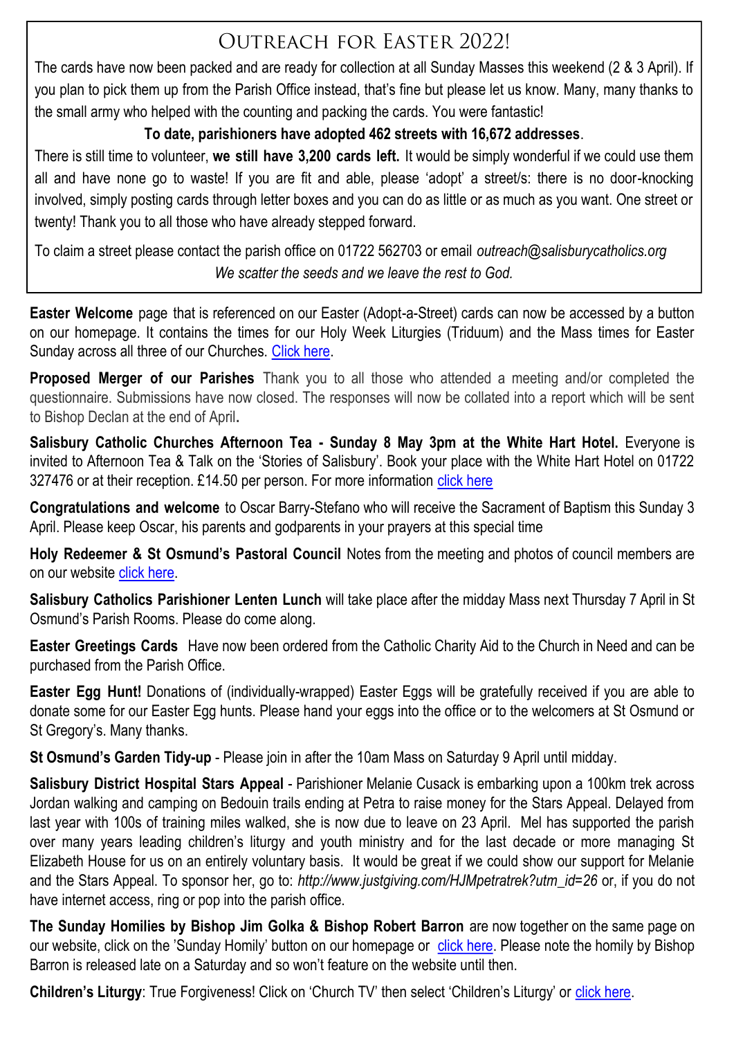## OUTREACH FOR EASTER 20221

The cards have now been packed and are ready for collection at all Sunday Masses this weekend (2 & 3 April). If you plan to pick them up from the Parish Office instead, that's fine but please let us know. Many, many thanks to the small army who helped with the counting and packing the cards. You were fantastic!

#### **To date, parishioners have adopted 462 streets with 16,672 addresses**.

There is still time to volunteer, **we still have 3,200 cards left.** It would be simply wonderful if we could use them all and have none go to waste! If you are fit and able, please 'adopt' a street/s: there is no door-knocking involved, simply posting cards through letter boxes and you can do as little or as much as you want. One street or twenty! Thank you to all those who have already stepped forward.

To claim a street please contact the parish office on 01722 562703 or email *outreach@salisburycatholics.org We scatter the seeds and we leave the rest to God.*

**Easter Welcome** page that is referenced on our Easter (Adopt-a-Street) cards can now be accessed by a button on our homepage. It contains the times for our Holy Week Liturgies (Triduum) and the Mass times for Easter Sunday across all three of our Churches. [Click here.](https://salisburycatholics.org/easter-welcome)

**Proposed Merger of our Parishes** Thank you to all those who attended a meeting and/or completed the questionnaire. Submissions have now closed. The responses will now be collated into a report which will be sent to Bishop Declan at the end of April**.**

**Salisbury Catholic Churches Afternoon Tea - Sunday 8 May 3pm at the White Hart Hotel.** Everyone is invited to Afternoon Tea & Talk on the 'Stories of Salisbury'. Book your place with the White Hart Hotel on 01722 327476 or at their reception. £14.50 per person. For more information [click here](https://salisburycatholics.org/blog/salisbury-catholic-churches-afternoon-tea)

**Congratulations and welcome** to Oscar Barry-Stefano who will receive the Sacrament of Baptism this Sunday 3 April. Please keep Oscar, his parents and godparents in your prayers at this special time

**Holy Redeemer & St Osmund's Pastoral Council** Notes from the meeting and photos of council members are on our website [click here.](https://salisburycatholics.org/ppc-hr-sto)

**Salisbury Catholics Parishioner Lenten Lunch** will take place after the midday Mass next Thursday 7 April in St Osmund's Parish Rooms. Please do come along.

**Easter Greetings Cards** Have now been ordered from the Catholic Charity Aid to the Church in Need and can be purchased from the Parish Office.

**Easter Egg Hunt!** Donations of (individually-wrapped) Easter Eggs will be gratefully received if you are able to donate some for our Easter Egg hunts. Please hand your eggs into the office or to the welcomers at St Osmund or St Gregory's. Many thanks.

**St Osmund's Garden Tidy-up** - Please join in after the 10am Mass on Saturday 9 April until midday.

**Salisbury District Hospital Stars Appeal** - Parishioner Melanie Cusack is embarking upon a 100km trek across Jordan walking and camping on Bedouin trails ending at Petra to raise money for the Stars Appeal. Delayed from last year with 100s of training miles walked, she is now due to leave on 23 April. Mel has supported the parish over many years leading children's liturgy and youth ministry and for the last decade or more managing St Elizabeth House for us on an entirely voluntary basis. It would be great if we could show our support for Melanie and the Stars Appeal. To sponsor her, go to: *http://www.justgiving.com/HJMpetratrek?utm\_id=26* or, if you do not have internet access, ring or pop into the parish office.

**The Sunday Homilies by Bishop Jim Golka & Bishop Robert Barron** are now together on the same page on our website, click on the 'Sunday Homily' button on our homepage or [click here.](https://salisburycatholics.org/sunday-homily) Please note the homily by Bishop Barron is released late on a Saturday and so won't feature on the website until then.

**Children's Liturgy:** True Forgiveness! Click on 'Church TV' then select 'Children's Liturgy' or click here.